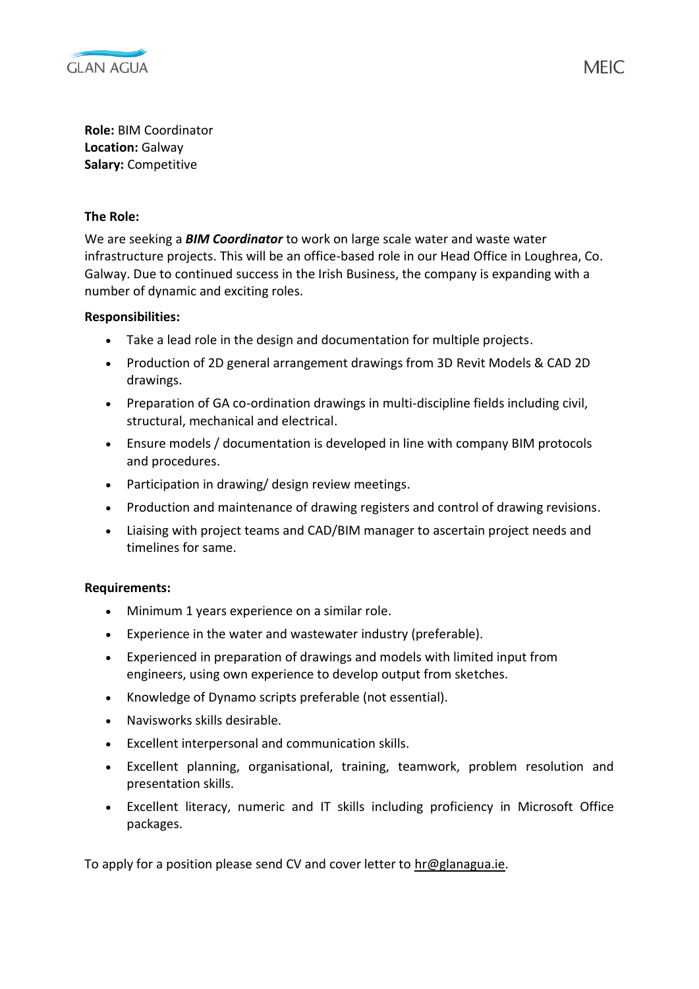

**Role:** BIM Coordinator **Location:** Galway **Salary:** Competitive

## **The Role:**

We are seeking a *BIM Coordinator* to work on large scale water and waste water infrastructure projects. This will be an office-based role in our Head Office in Loughrea, Co. Galway. Due to continued success in the Irish Business, the company is expanding with a number of dynamic and exciting roles.

## **Responsibilities:**

- Take a lead role in the design and documentation for multiple projects.
- Production of 2D general arrangement drawings from 3D Revit Models & CAD 2D drawings.
- Preparation of GA co-ordination drawings in multi-discipline fields including civil, structural, mechanical and electrical.
- Ensure models / documentation is developed in line with company BIM protocols and procedures.
- Participation in drawing/ design review meetings.
- Production and maintenance of drawing registers and control of drawing revisions.
- Liaising with project teams and CAD/BIM manager to ascertain project needs and timelines for same.

## **Requirements:**

- Minimum 1 years experience on a similar role.
- Experience in the water and wastewater industry (preferable).
- Experienced in preparation of drawings and models with limited input from engineers, using own experience to develop output from sketches.
- Knowledge of Dynamo scripts preferable (not essential).
- Navisworks skills desirable.
- Excellent interpersonal and communication skills.
- Excellent planning, organisational, training, teamwork, problem resolution and presentation skills.
- Excellent literacy, numeric and IT skills including proficiency in Microsoft Office packages.

To apply for a position please send CV and cover letter to  $hr@glanagua_ie$ .